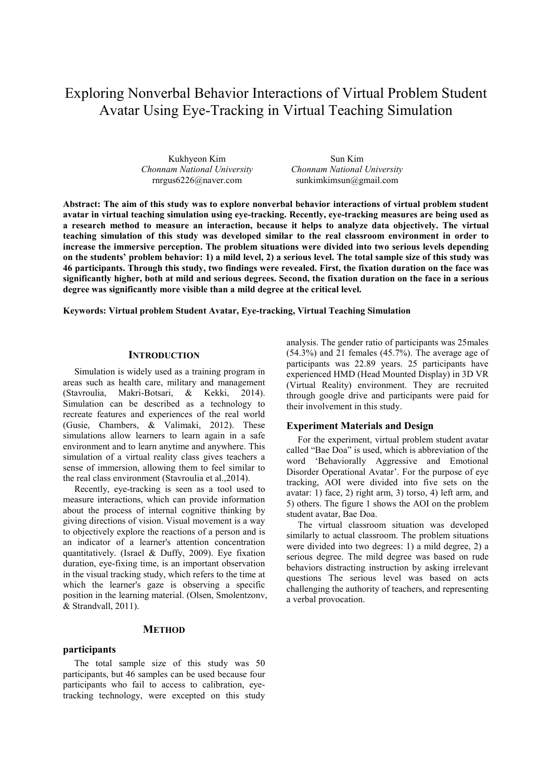# Exploring Nonverbal Behavior Interactions of Virtual Problem Student Avatar Using Eye-Tracking in Virtual Teaching Simulation

Kukhyeon Kim *Chonnam National University* rnrgus6226@naver.com

Sun Kim *Chonnam National University*  sunkimkimsun@gmail.com

**Abstract: The aim of this study was to explore nonverbal behavior interactions of virtual problem student avatar in virtual teaching simulation using eye-tracking. Recently, eye-tracking measures are being used as a research method to measure an interaction, because it helps to analyze data objectively. The virtual teaching simulation of this study was developed similar to the real classroom environment in order to increase the immersive perception. The problem situations were divided into two serious levels depending on the students' problem behavior: 1) a mild level, 2) a serious level. The total sample size of this study was 46 participants. Through this study, two findings were revealed. First, the fixation duration on the face was significantly higher, both at mild and serious degrees. Second, the fixation duration on the face in a serious degree was significantly more visible than a mild degree at the critical level.** 

**Keywords: Virtual problem Student Avatar, Eye-tracking, Virtual Teaching Simulation**

## **INTRODUCTION**

Simulation is widely used as a training program in areas such as health care, military and management (Stavroulia, Makri-Botsari, & Kekki, 2014). Simulation can be described as a technology to recreate features and experiences of the real world (Gusie, Chambers, & Valimaki, 2012). These simulations allow learners to learn again in a safe environment and to learn anytime and anywhere. This simulation of a virtual reality class gives teachers a sense of immersion, allowing them to feel similar to the real class environment (Stavroulia et al.,2014).

Recently, eye-tracking is seen as a tool used to measure interactions, which can provide information about the process of internal cognitive thinking by giving directions of vision. Visual movement is a way to objectively explore the reactions of a person and is an indicator of a learner's attention concentration quantitatively. (Israel & Duffy, 2009). Eye fixation duration, eye-fixing time, is an important observation in the visual tracking study, which refers to the time at which the learner's gaze is observing a specific position in the learning material. (Olsen, Smolentzonv, & Strandvall, 2011).

# **METHOD**

#### **participants**

The total sample size of this study was 50 participants, but 46 samples can be used because four participants who fail to access to calibration, eyetracking technology, were excepted on this study

analysis. The gender ratio of participants was 25males  $(54.3%)$  and 21 females  $(45.7%)$ . The average age of participants was 22.89 years. 25 participants have experienced HMD (Head Mounted Display) in 3D VR (Virtual Reality) environment. They are recruited through google drive and participants were paid for their involvement in this study.

### **Experiment Materials and Design**

For the experiment, virtual problem student avatar called "Bae Doa" is used, which is abbreviation of the word 'Behaviorally Aggressive and Emotional Disorder Operational Avatar'. For the purpose of eye tracking, AOI were divided into five sets on the avatar: 1) face, 2) right arm, 3) torso, 4) left arm, and 5) others. The figure 1 shows the AOI on the problem student avatar, Bae Doa.

The virtual classroom situation was developed similarly to actual classroom. The problem situations were divided into two degrees: 1) a mild degree, 2) a serious degree. The mild degree was based on rude behaviors distracting instruction by asking irrelevant questions The serious level was based on acts challenging the authority of teachers, and representing a verbal provocation.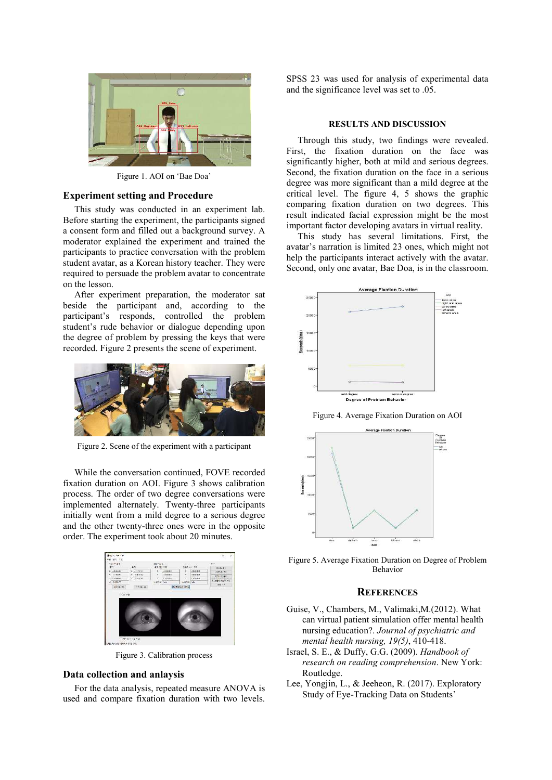

Figure 1. AOI on 'Bae Doa'

#### **Experiment setting and Procedure**

This study was conducted in an experiment lab. Before starting the experiment, the participants signed a consent form and filled out a background survey. A moderator explained the experiment and trained the participants to practice conversation with the problem student avatar, as a Korean history teacher. They were required to persuade the problem avatar to concentrate on the lesson.

After experiment preparation, the moderator sat beside the participant and, according to the participant's responds, controlled the problem student's rude behavior or dialogue depending upon the degree of problem by pressing the keys that were recorded. Figure 2 presents the scene of experiment.



Figure 2. Scene of the experiment with a participant

While the conversation continued, FOVE recorded fixation duration on AOI. Figure 3 shows calibration process. The order of two degree conversations were implemented alternately. Twenty-three participants initially went from a mild degree to a serious degree and the other twenty-three ones were in the opposite order. The experiment took about 20 minutes.



Figure 3. Calibration process

## **Data collection and anlaysis**

For the data analysis, repeated measure ANOVA is used and compare fixation duration with two levels.

SPSS 23 was used for analysis of experimental data and the significance level was set to .05.

#### **RESULTS AND DISCUSSION**

Through this study, two findings were revealed. First, the fixation duration on the face was significantly higher, both at mild and serious degrees. Second, the fixation duration on the face in a serious degree was more significant than a mild degree at the critical level. The figure 4, 5 shows the graphic comparing fixation duration on two degrees. This result indicated facial expression might be the most important factor developing avatars in virtual reality.

This study has several limitations. First, the avatar's narration is limited 23 ones, which might not help the participants interact actively with the avatar. Second, only one avatar, Bae Doa, is in the classroom.



Figure 4. Average Fixation Duration on AOI



Figure 5. Average Fixation Duration on Degree of Problem Behavior

## **REFERENCES**

- Guise, V., Chambers, M., Valimaki,M.(2012). What can virtual patient simulation offer mental health nursing education?. *Journal of psychiatric and mental health nursing, 19(5)*, 410-418.
- Israel, S. E., & Duffy, G.G. (2009). *Handbook of research on reading comprehension*. New York: Routledge.
- Lee, Yongjin, L., & Jeeheon, R. (2017). Exploratory Study of Eye-Tracking Data on Students'